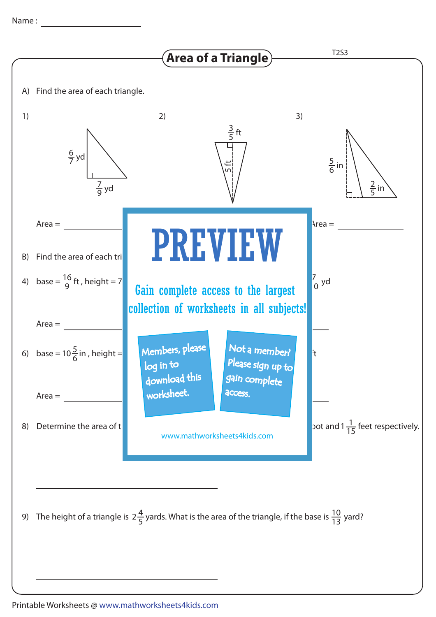